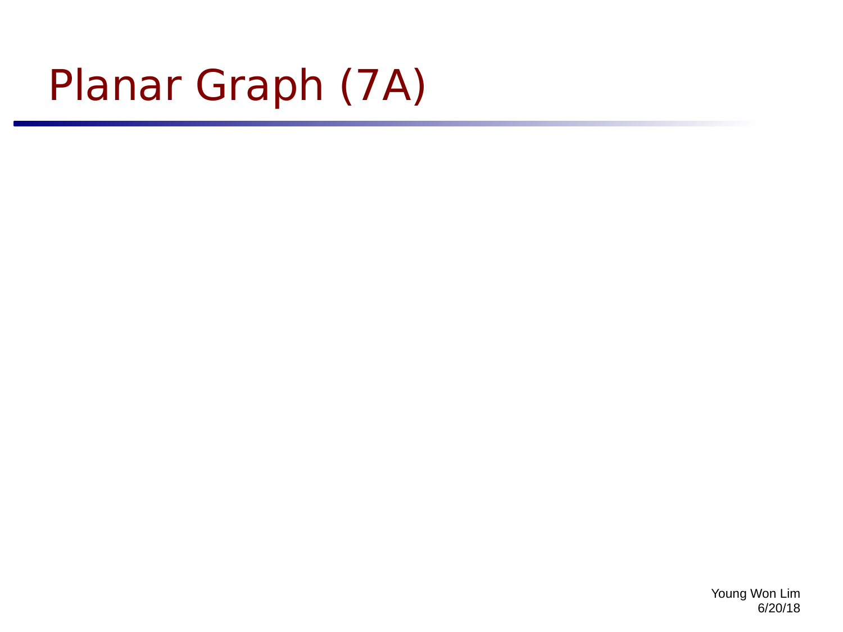# Planar Graph (7A)

Young Won Lim 6/20/18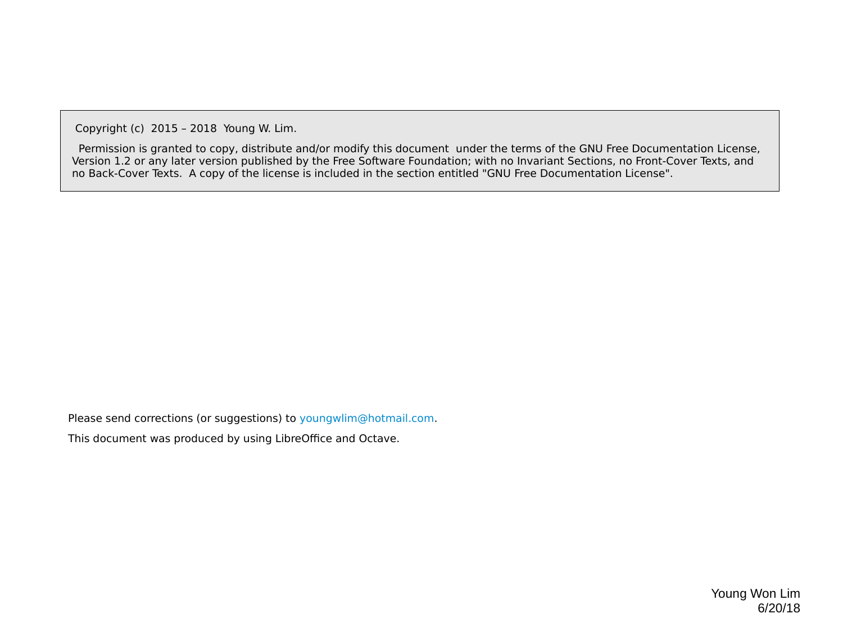Copyright (c) 2015 – 2018 Young W. Lim.

 Permission is granted to copy, distribute and/or modify this document under the terms of the GNU Free Documentation License, Version 1.2 or any later version published by the Free Software Foundation; with no Invariant Sections, no Front-Cover Texts, and no Back-Cover Texts. A copy of the license is included in the section entitled "GNU Free Documentation License".

Please send corrections (or suggestions) to [youngwlim@hotmail.com](mailto:youngwlim@hotmail.com).

This document was produced by using LibreOffice and Octave.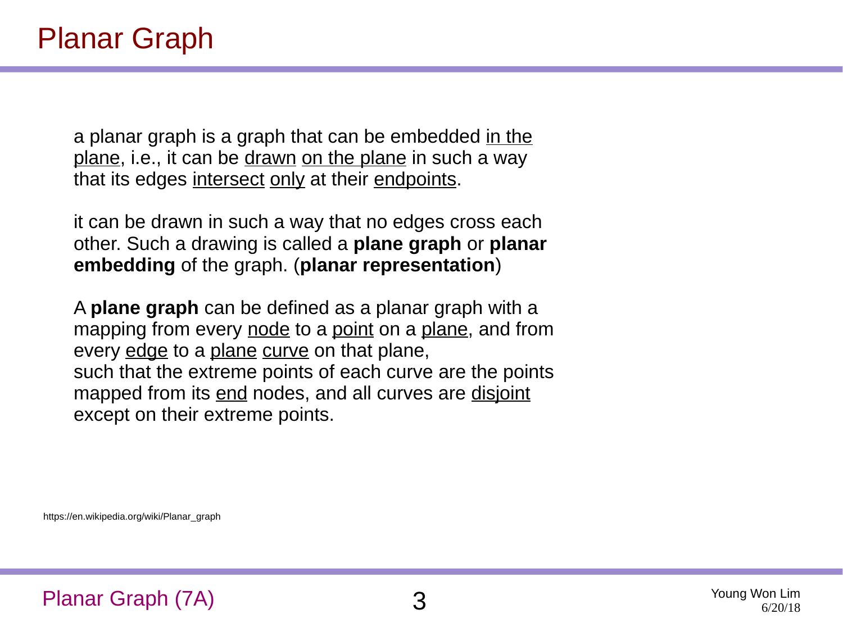a planar graph is a graph that can be embedded in the plane, i.e., it can be drawn on the plane in such a way that its edges intersect only at their endpoints.

it can be drawn in such a way that no edges cross each other. Such a drawing is called a **plane graph** or **planar embedding** of the graph. (**planar representation**)

A **plane graph** can be defined as a planar graph with a mapping from every node to a point on a plane, and from every edge to a plane curve on that plane, such that the extreme points of each curve are the points mapped from its end nodes, and all curves are disjoint except on their extreme points.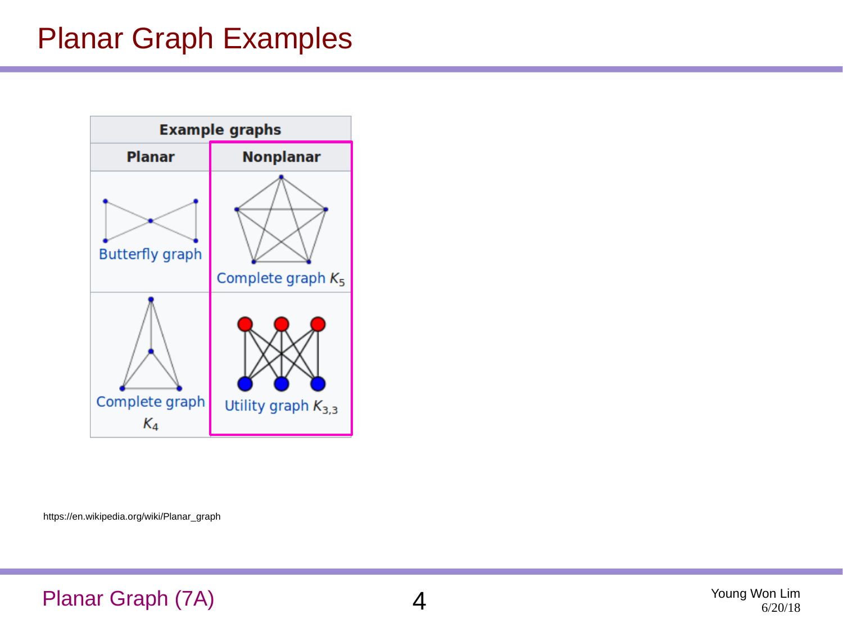#### Planar Graph Examples



https://en.wikipedia.org/wiki/Planar\_graph

#### Planar Graph (7A) 4

Young Won Lim 6/20/18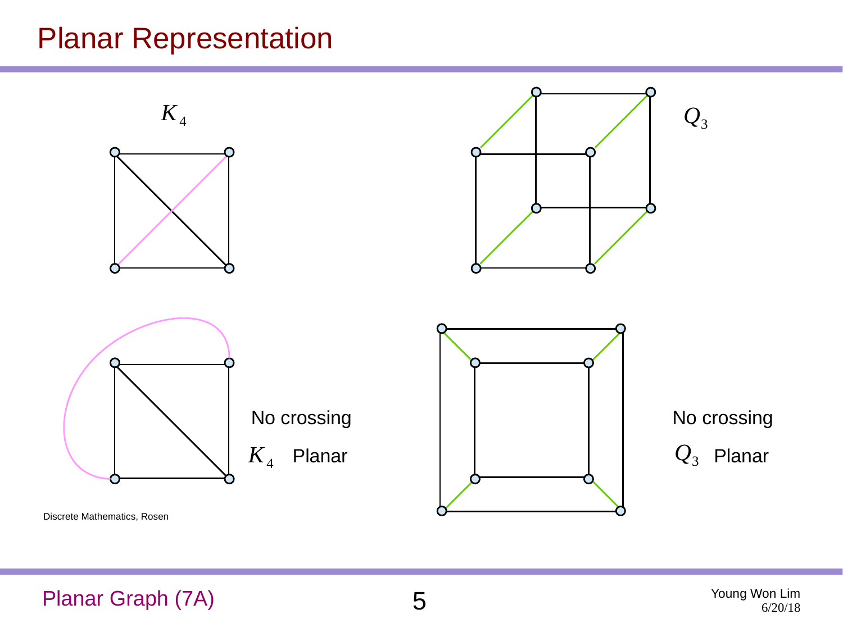#### Planar Representation



Planar Graph (7A) 5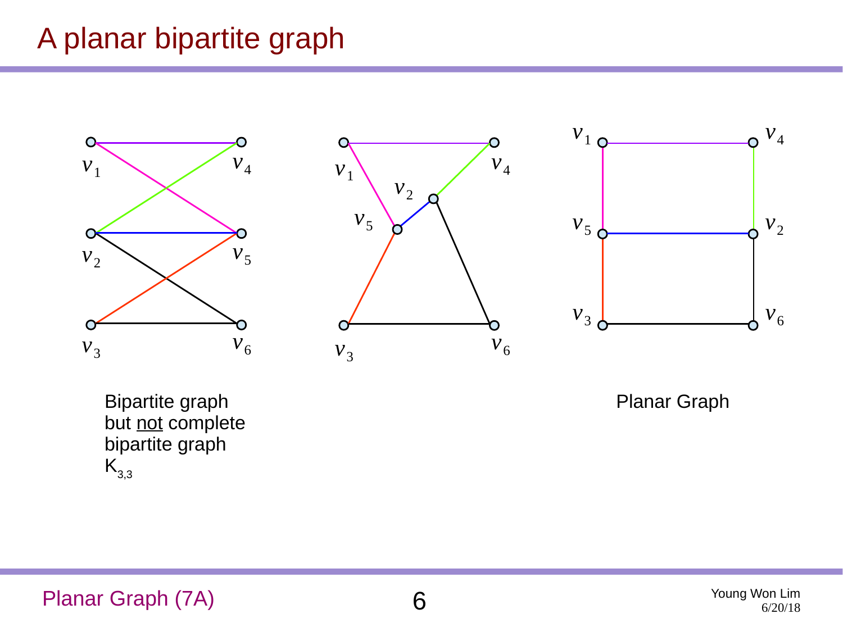### A planar bipartite graph







Bipartite graph but not complete bipartite graph  $K_{3,3}$ 

Planar Graph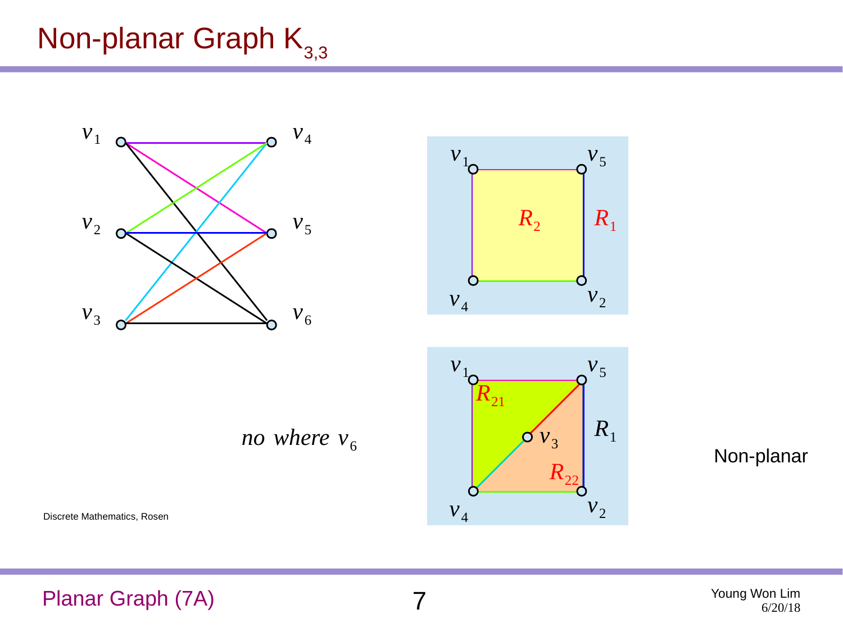## Non-planar Graph  $K_{3,3}$



*no where*  $v_6$ 





Non-planar

Discrete Mathematics, Rosen

Planar Graph (7A) 7

Young Won Lim 6/20/18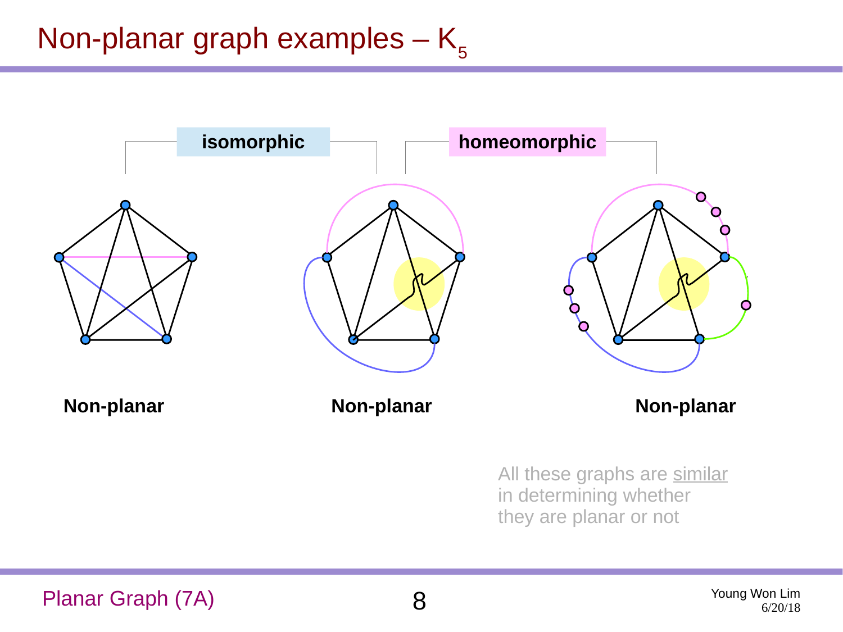### Non-planar graph examples  $-$  K<sub>5</sub>



Planar Graph (7A) 8

Young Won Lim 6/20/18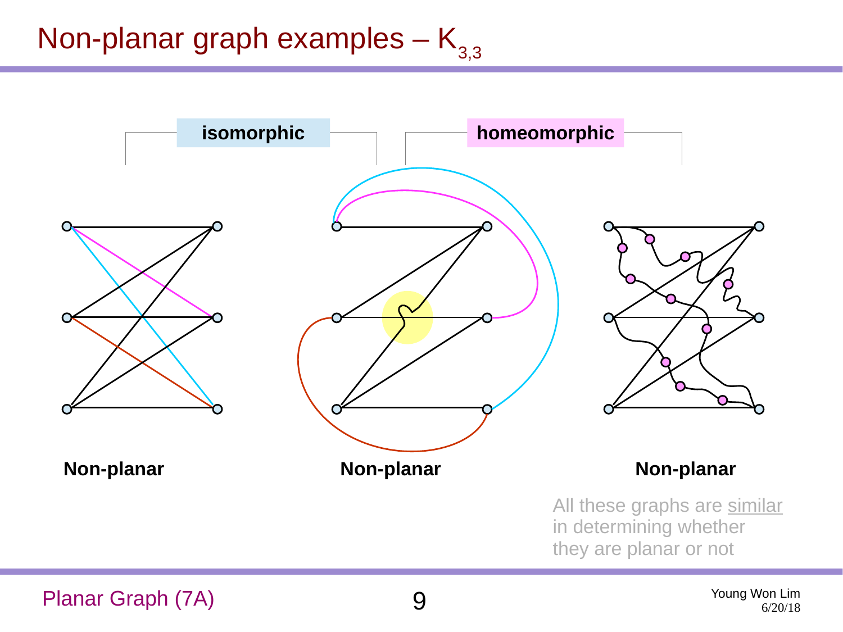## Non-planar graph examples  $-K_{3,3}$

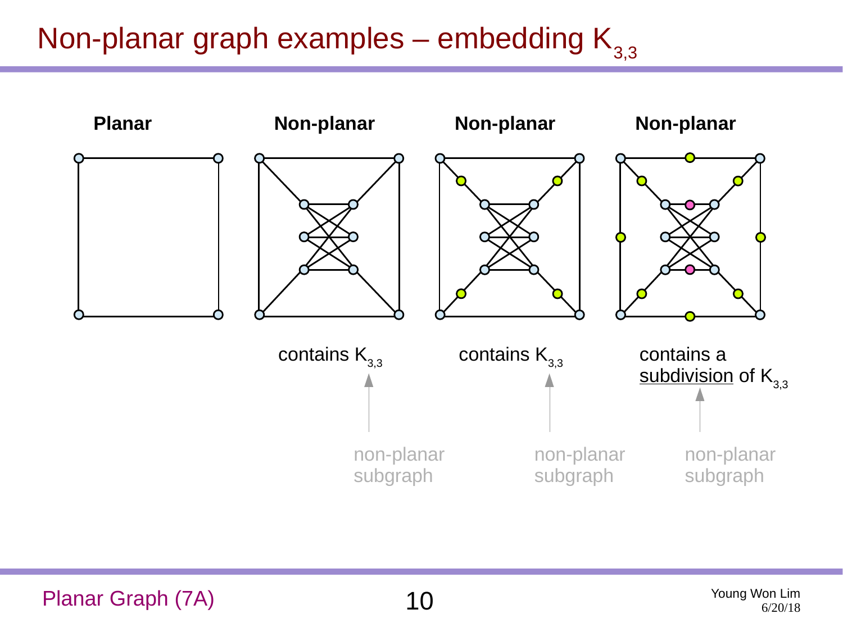## Non-planar graph examples – embedding  $K_{3,3}$

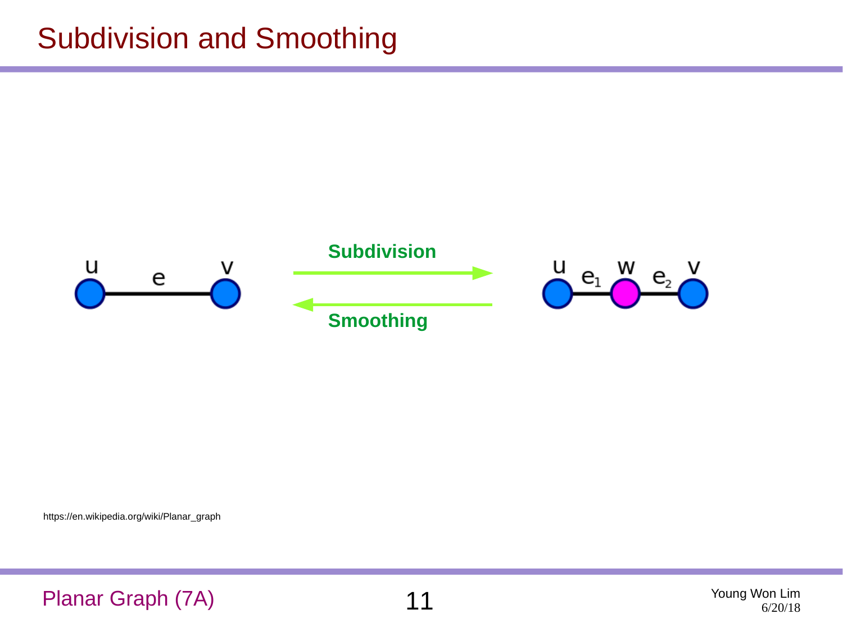#### Subdivision and Smoothing

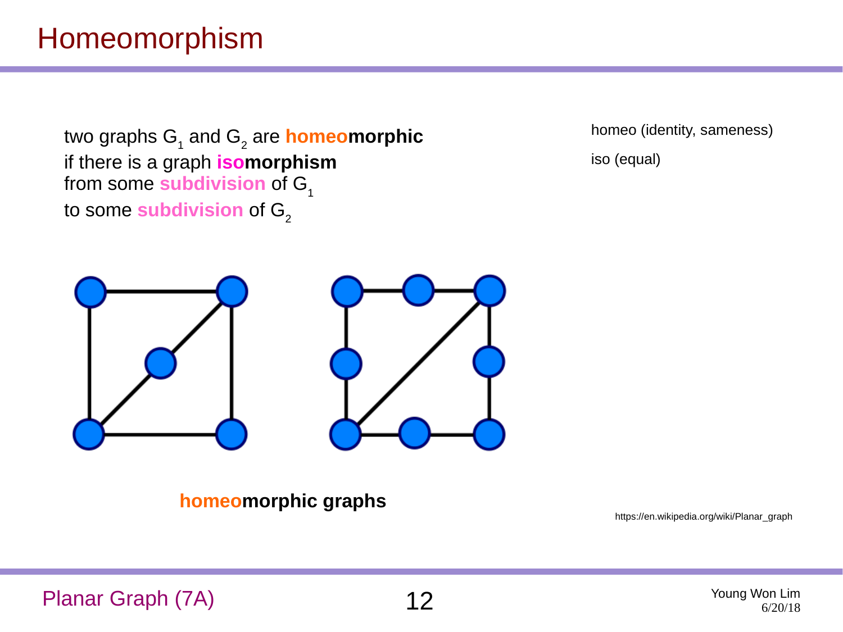### Homeomorphism

two graphs G<sub>1</sub> and G<sub>2</sub> are **homeomorphic** if there is a graph **isomorphism** from some **subdivision** of G<sub>1</sub> to some **subdivision** of  $G<sub>2</sub>$ 

homeo (identity, sameness) iso (equal)





**homeomorphic graphs**

https://en.wikipedia.org/wiki/Planar\_graph

Planar Graph (7A)  $12$  Young Won Lim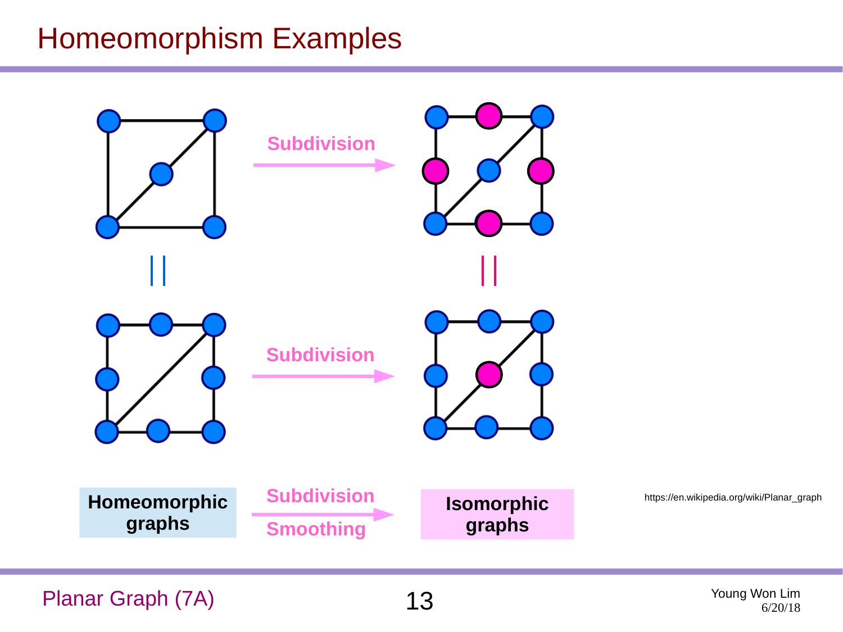#### Homeomorphism Examples



Planar Graph (7A)  $13$  Young Won Lim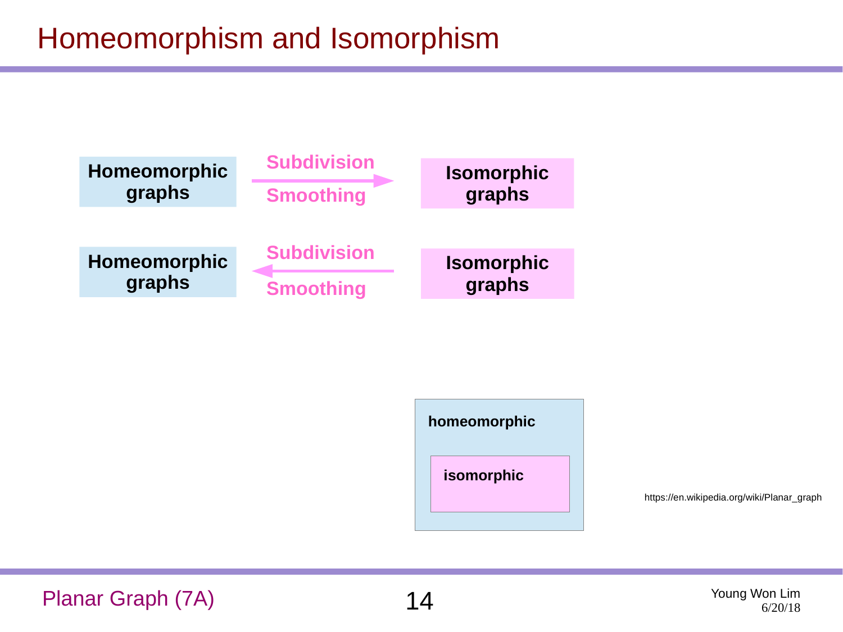## Homeomorphism and Isomorphism





https://en.wikipedia.org/wiki/Planar\_graph

Planar Graph (7A)  $14$  Young Won Lim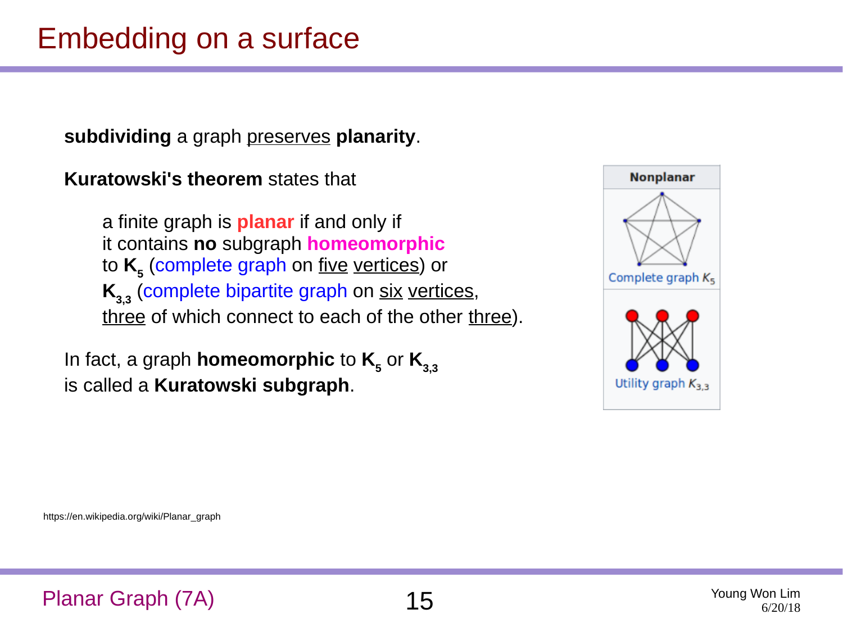### Embedding on a surface

**subdividing** a graph preserves **planarity**.

**Kuratowski's theorem** states that

 a finite graph is **planar** if and only if it contains **no** subgraph **homeomorphic** to **K<sup>5</sup>** (complete graph on five vertices) or **K**<sub>3,3</sub> (complete bipartite graph on six vertices, three of which connect to each of the other three).

In fact, a graph  $h$ omeomorphic to  $\mathsf{K}_{_{\mathbf{5}}}$  or  $\mathsf{K}_{_{\mathbf{3},\mathbf{3}}}$ is called a **Kuratowski subgraph**.

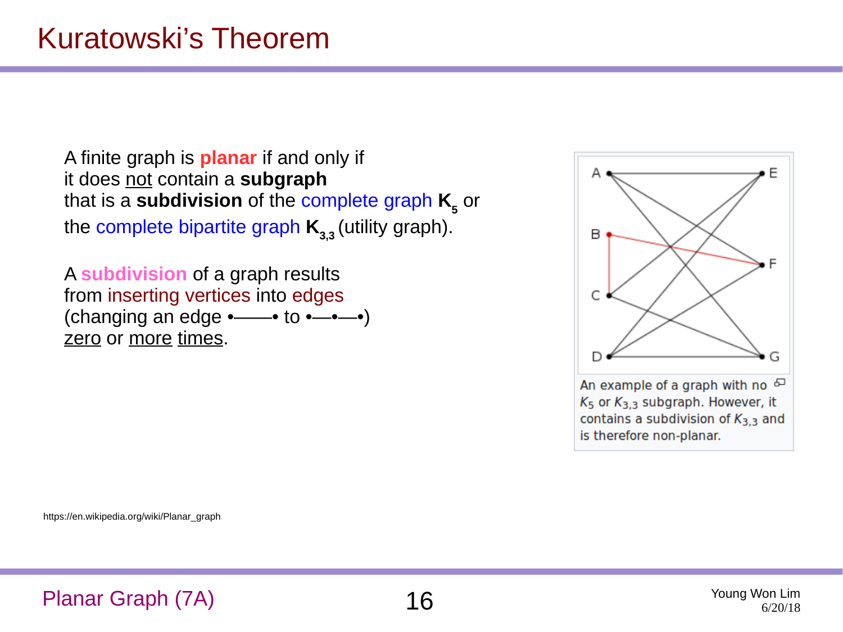A finite graph is **planar** if and only if it does not contain a **subgraph** that is a **subdivision** of the complete graph **K**<sub>5</sub> or the complete bipartite graph  $K_{3,3}$  (utility graph).

A **subdivision** of a graph results from inserting vertices into edges (changing an edge •——• to •—•—•) zero or more times.



 $K_5$  or  $K_{3,3}$  subgraph. However, it contains a subdivision of  $K_{3,3}$  and is therefore non-planar.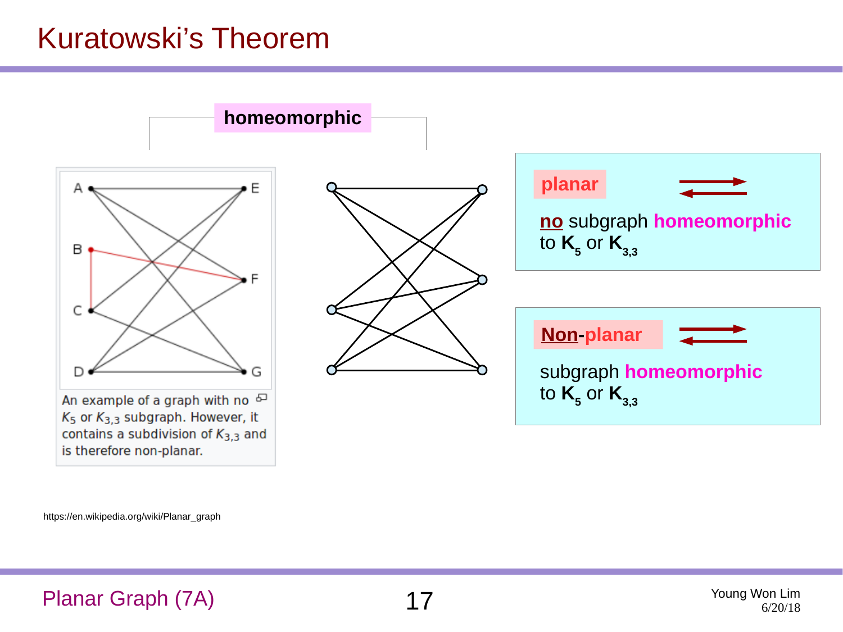#### Kuratowski's Theorem

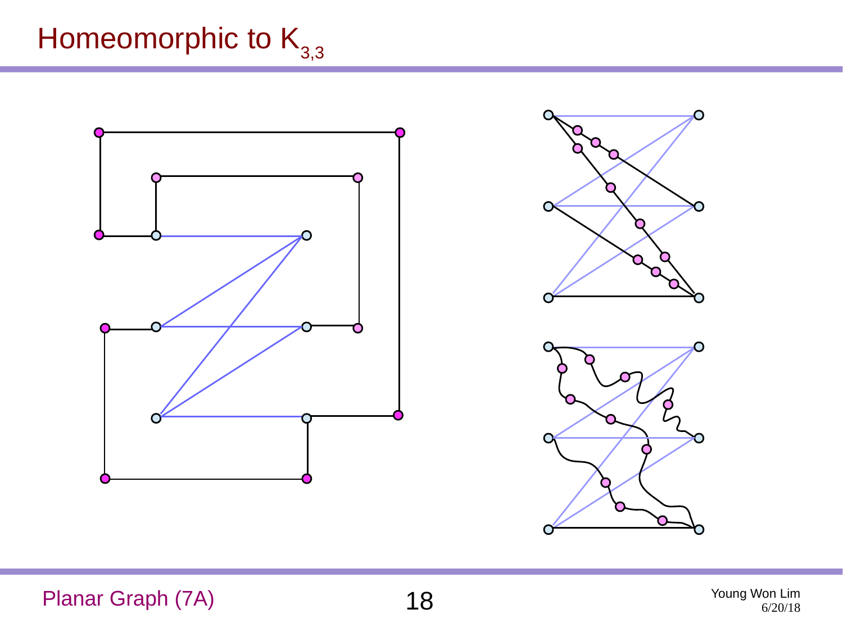## Homeomorphic to  $K_{3,3}$





Planar Graph (7A)  $18$  Young Won Lim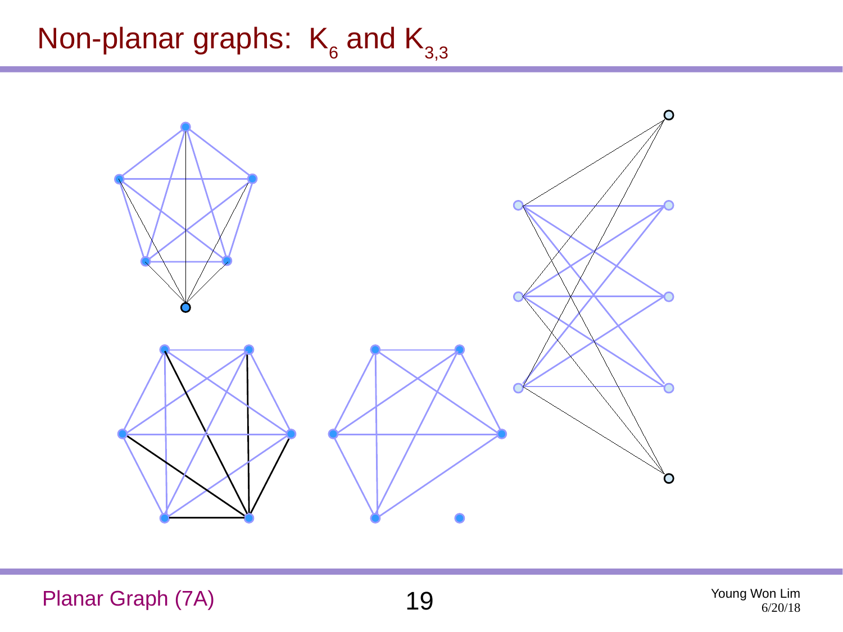## Non-planar graphs:  $K_6$  and  $K_{3,3}$



Planar Graph (7A) 19 Young Won Lim

6/20/18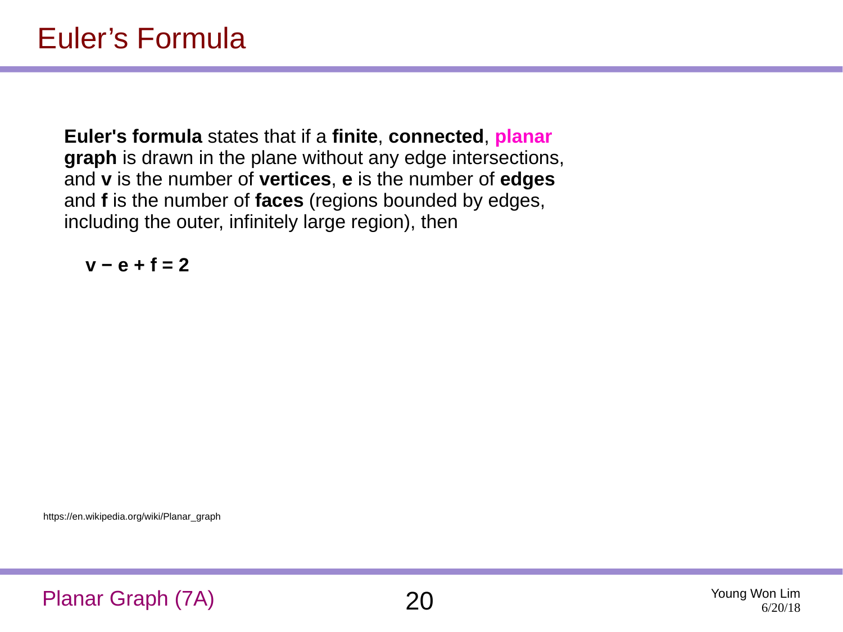**Euler's formula** states that if a **finite**, **connected**, **planar graph** is drawn in the plane without any edge intersections, and **v** is the number of **vertices**, **e** is the number of **edges** and **f** is the number of **faces** (regions bounded by edges, including the outer, infinitely large region), then

**v − e + f = 2**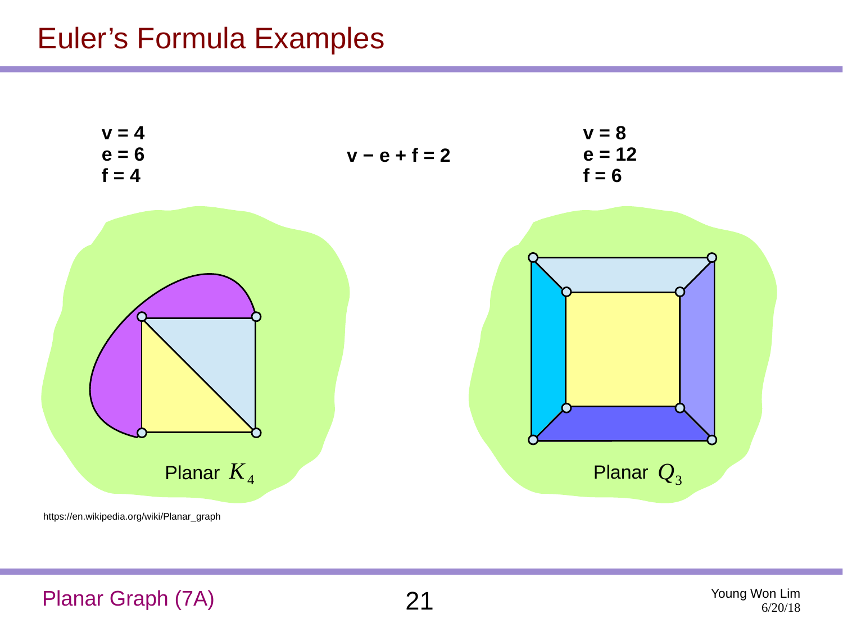#### Euler's Formula Examples



#### Planar Graph (7A) 21 Young Won Lim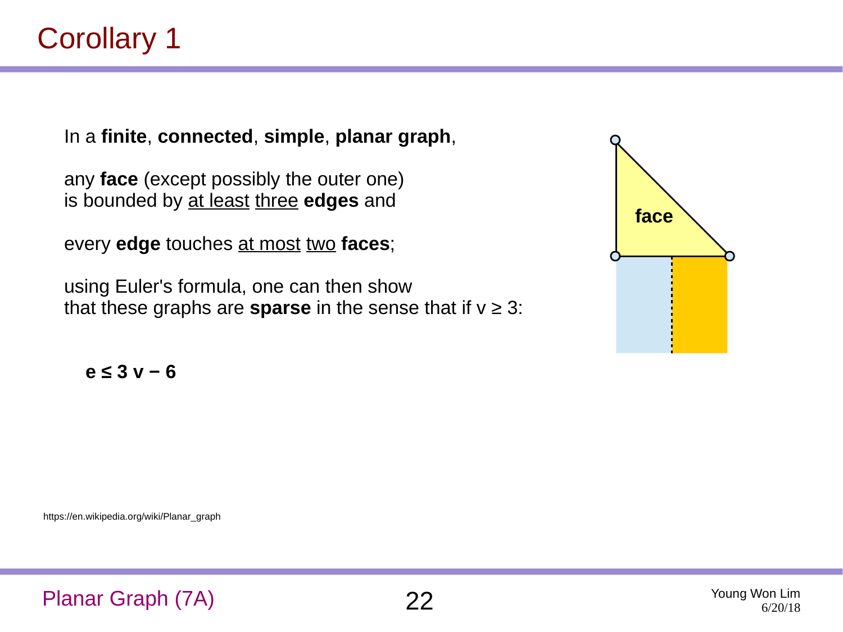In a **finite**, **connected**, **simple**, **planar graph**,

any **face** (except possibly the outer one) is bounded by at least three **edges** and

every **edge** touches at most two **faces**;

using Euler's formula, one can then show that these graphs are **sparse** in the sense that if  $v \ge 3$ :



**e ≤ 3 v − 6**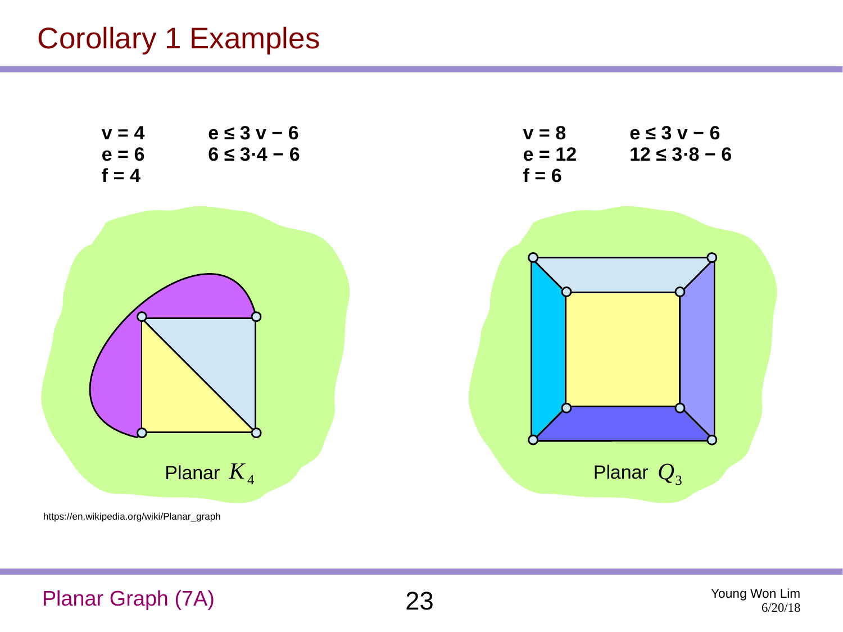#### Corollary 1 Examples



#### Planar Graph (7A) 23 Young Won Lim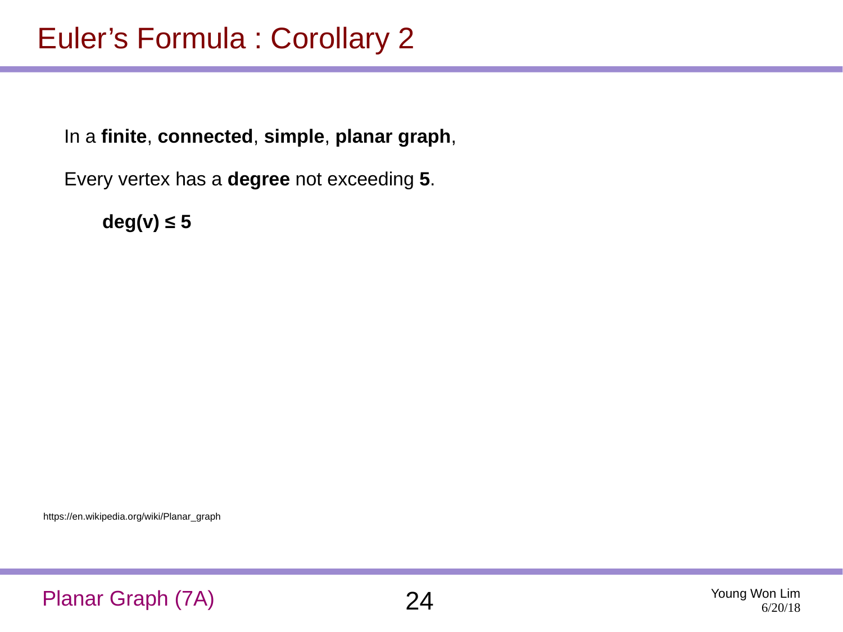In a **finite**, **connected**, **simple**, **planar graph**,

Every vertex has a **degree** not exceeding **5**.

**deg(v) ≤ 5**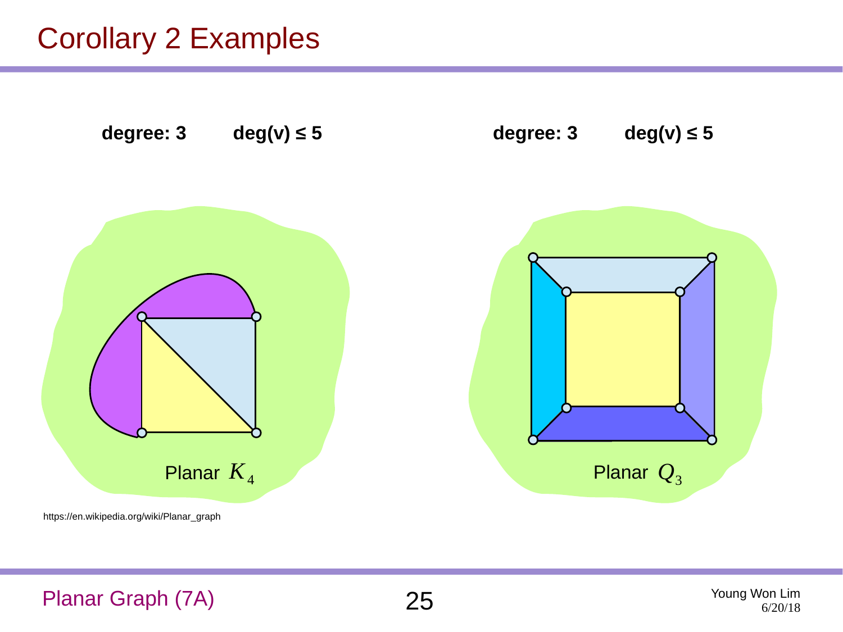#### Corollary 2 Examples

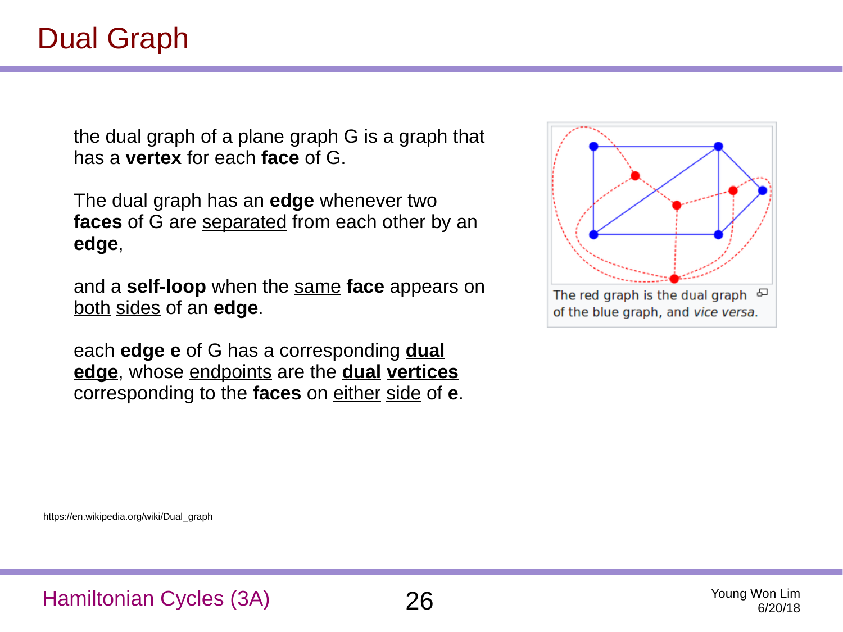the dual graph of a plane graph G is a graph that has a **vertex** for each **face** of G.

The dual graph has an **edge** whenever two **faces** of G are separated from each other by an **edge**,

and a **self-loop** when the same **face** appears on both sides of an **edge**.

each **edge e** of G has a corresponding **dual edge**, whose endpoints are the **dual vertices** corresponding to the **faces** on either side of **e**.

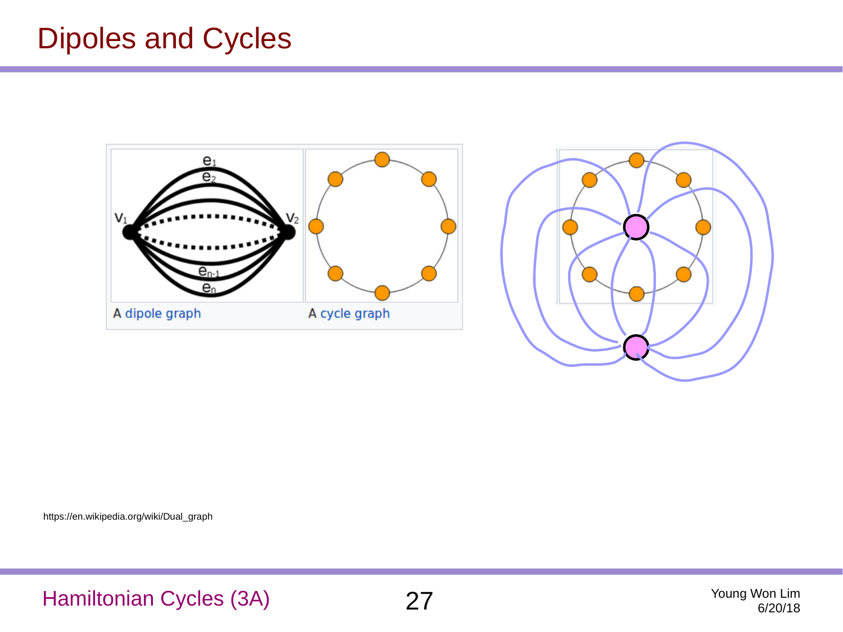#### Dipoles and Cycles





Hamiltonian Cycles (3A) 27 Young Won Lim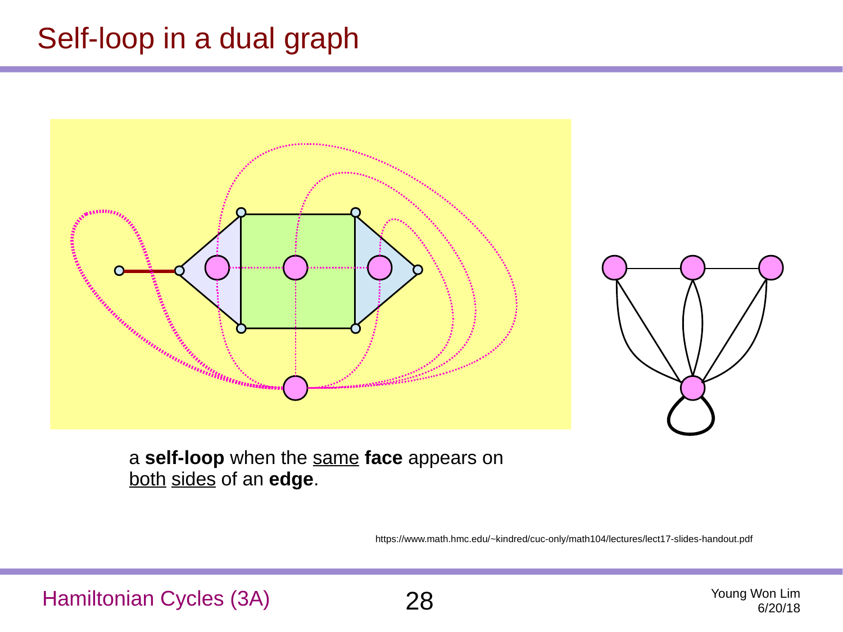### Self-loop in a dual graph





a **self-loop** when the same **face** appears on both sides of an **edge**.

https://www.math.hmc.edu/~kindred/cuc-only/math104/lectures/lect17-slides-handout.pdf

Hamiltonian Cycles (3A) 28 Young Won Lim



6/20/18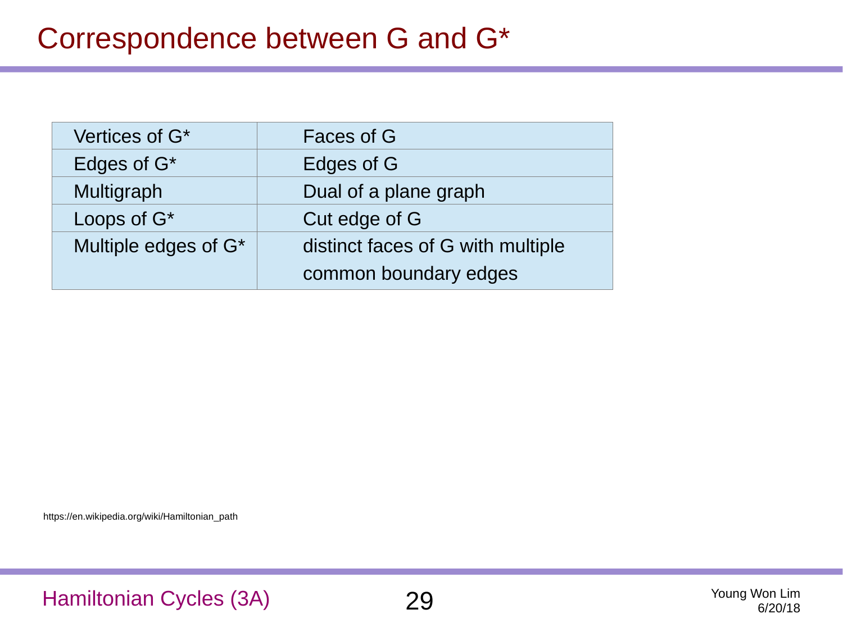| Vertices of G*       | Faces of G                        |
|----------------------|-----------------------------------|
| Edges of $G^*$       | Edges of G                        |
| Multigraph           | Dual of a plane graph             |
| Loops of $G^*$       | Cut edge of G                     |
| Multiple edges of G* | distinct faces of G with multiple |
|                      | common boundary edges             |

https://en.wikipedia.org/wiki/Hamiltonian\_path

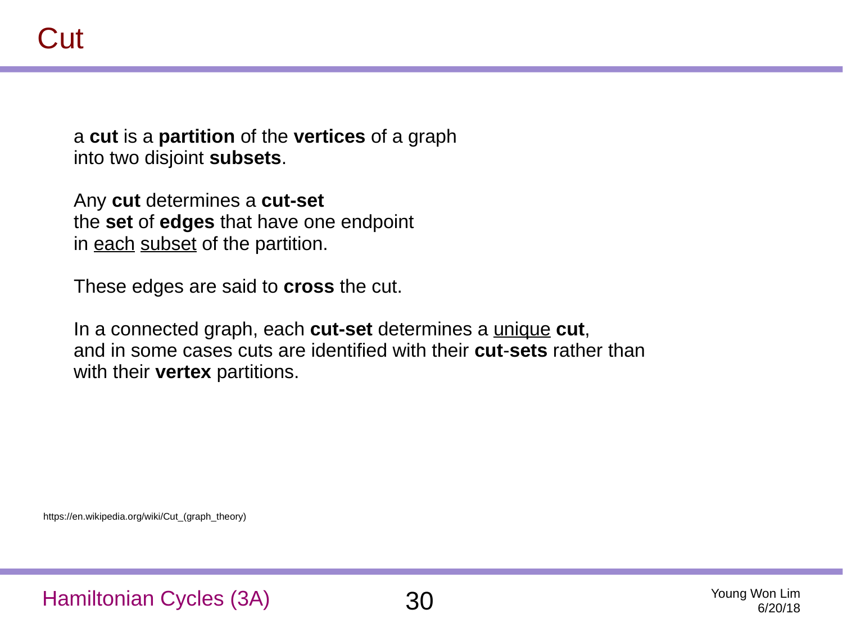a **cut** is a **partition** of the **vertices** of a graph into two disjoint **subsets**.

Any **cut** determines a **cut-set** the **set** of **edges** that have one endpoint in each subset of the partition.

These edges are said to **cross** the cut.

In a connected graph, each **cut-set** determines a unique **cut**, and in some cases cuts are identified with their **cut**-**sets** rather than with their **vertex** partitions.

https://en.wikipedia.org/wiki/Cut\_(graph\_theory)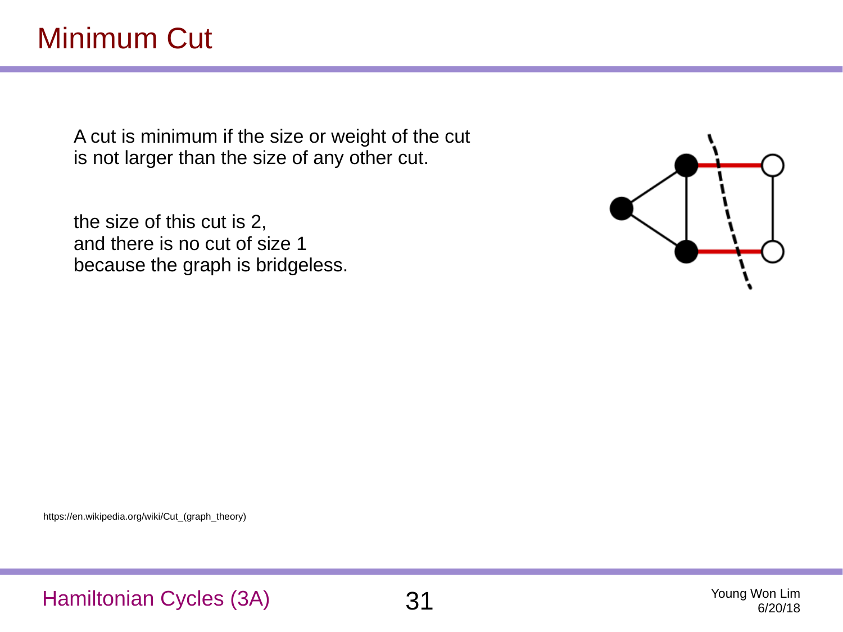A cut is minimum if the size or weight of the cut is not larger than the size of any other cut.

the size of this cut is 2, and there is no cut of size 1 because the graph is bridgeless.



https://en.wikipedia.org/wiki/Cut\_(graph\_theory)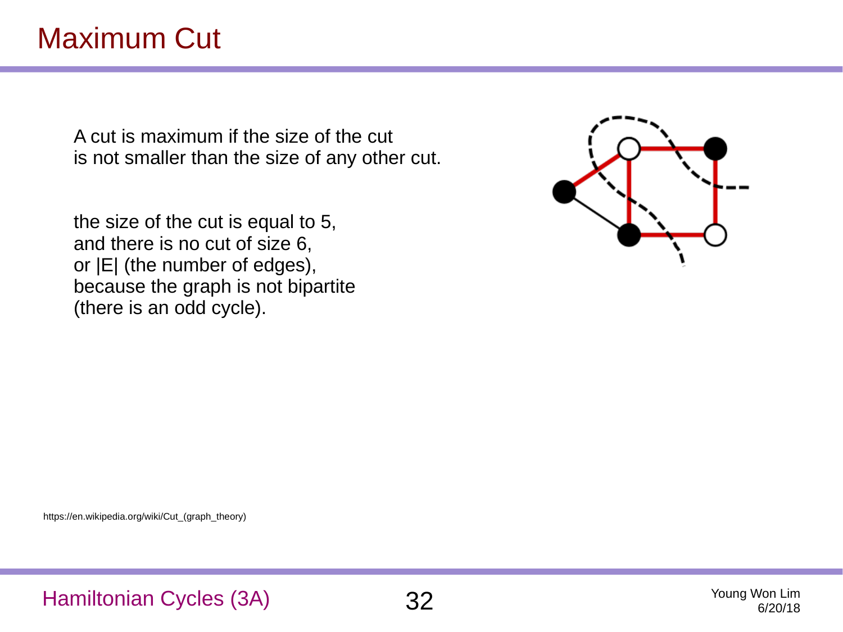### Maximum Cut

A cut is maximum if the size of the cut is not smaller than the size of any other cut.

the size of the cut is equal to 5, and there is no cut of size 6, or |E| (the number of edges), because the graph is not bipartite (there is an odd cycle).



https://en.wikipedia.org/wiki/Cut\_(graph\_theory)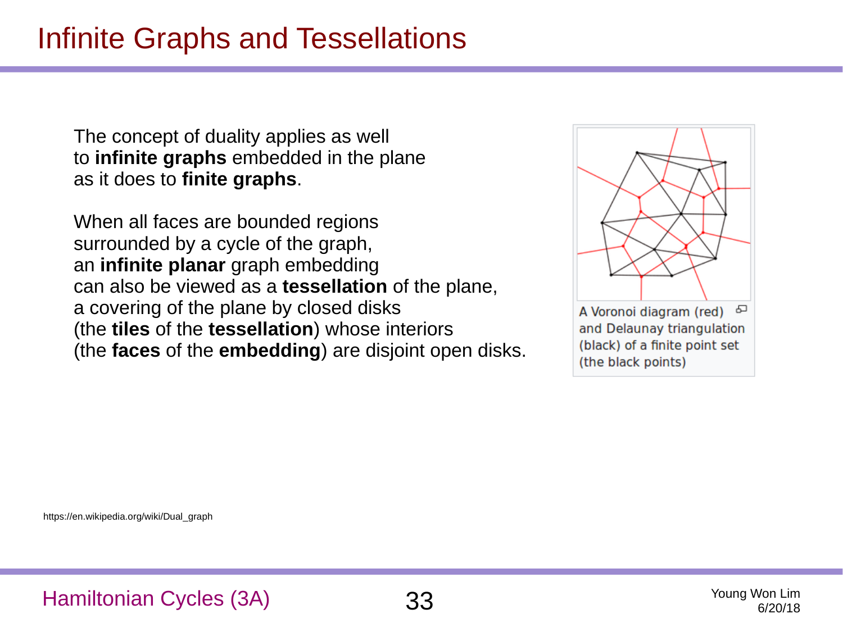The concept of duality applies as well to **infinite graphs** embedded in the plane as it does to **finite graphs**.

When all faces are bounded regions surrounded by a cycle of the graph, an **infinite planar** graph embedding can also be viewed as a **tessellation** of the plane, a covering of the plane by closed disks (the **tiles** of the **tessellation**) whose interiors (the **faces** of the **embedding**) are disjoint open disks.

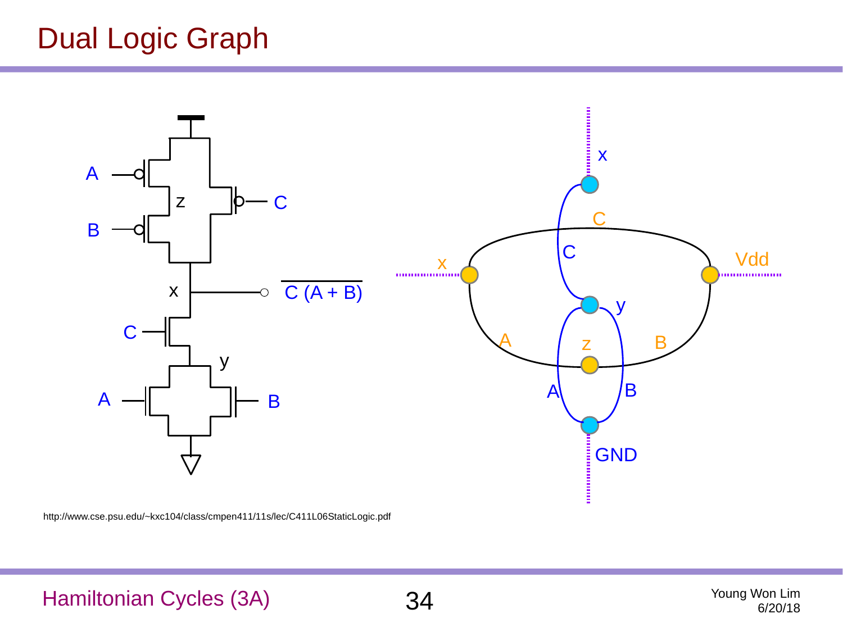#### Dual Logic Graph



http://www.cse.psu.edu/~kxc104/class/cmpen411/11s/lec/C411L06StaticLogic.pdf

#### Hamiltonian Cycles (3A) 34 Young Won Lim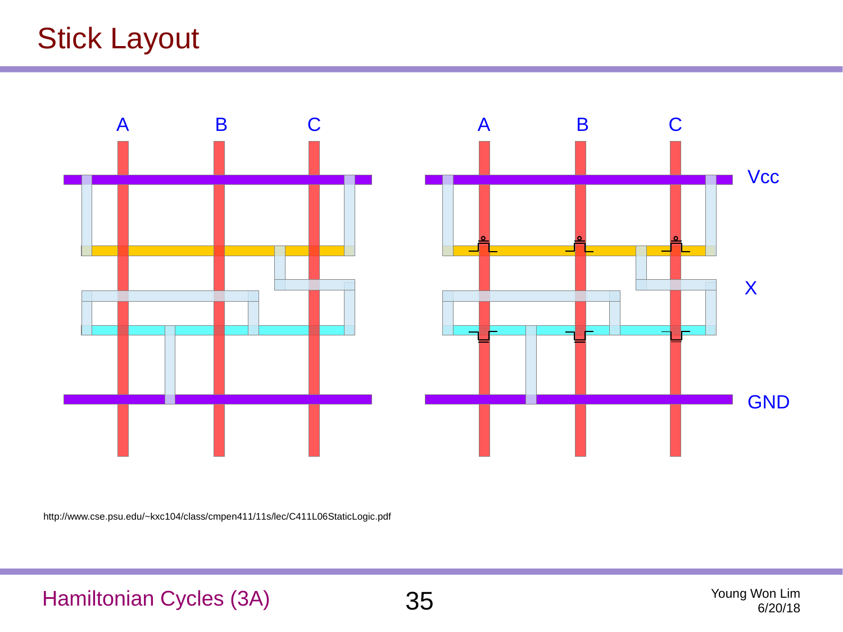## Stick Layout



http://www.cse.psu.edu/~kxc104/class/cmpen411/11s/lec/C411L06StaticLogic.pdf

Hamiltonian Cycles (3A) 35 Young Won Lim

6/20/18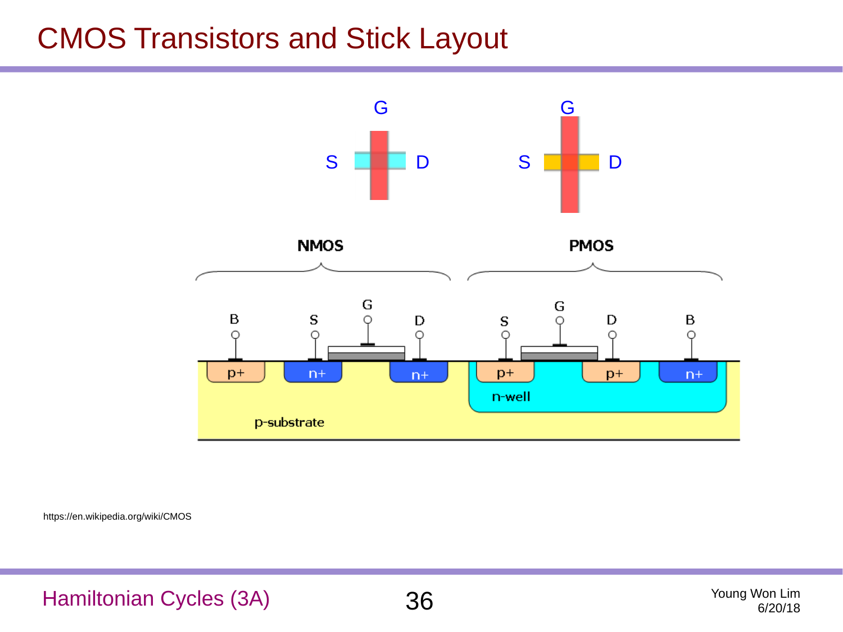#### CMOS Transistors and Stick Layout



https://en.wikipedia.org/wiki/CMOS

Hamiltonian Cycles (3A) 36 Young Won Lim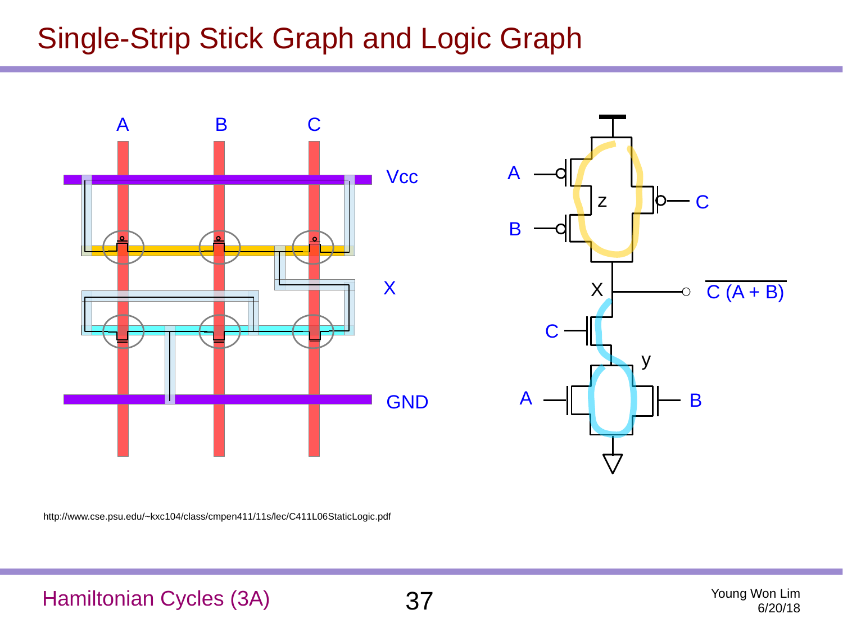### Single-Strip Stick Graph and Logic Graph





http://www.cse.psu.edu/~kxc104/class/cmpen411/11s/lec/C411L06StaticLogic.pdf

#### Hamiltonian Cycles (3A) 37 Young Won Lim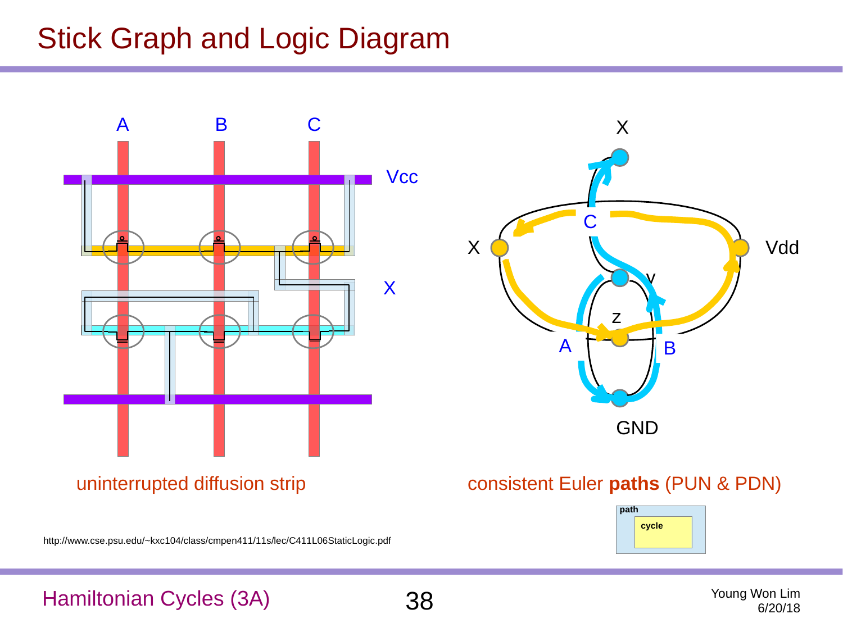### Stick Graph and Logic Diagram



http://www.cse.psu.edu/~kxc104/class/cmpen411/11s/lec/C411L06StaticLogic.pdf



#### Hamiltonian Cycles (3A) 38 Young Won Lim

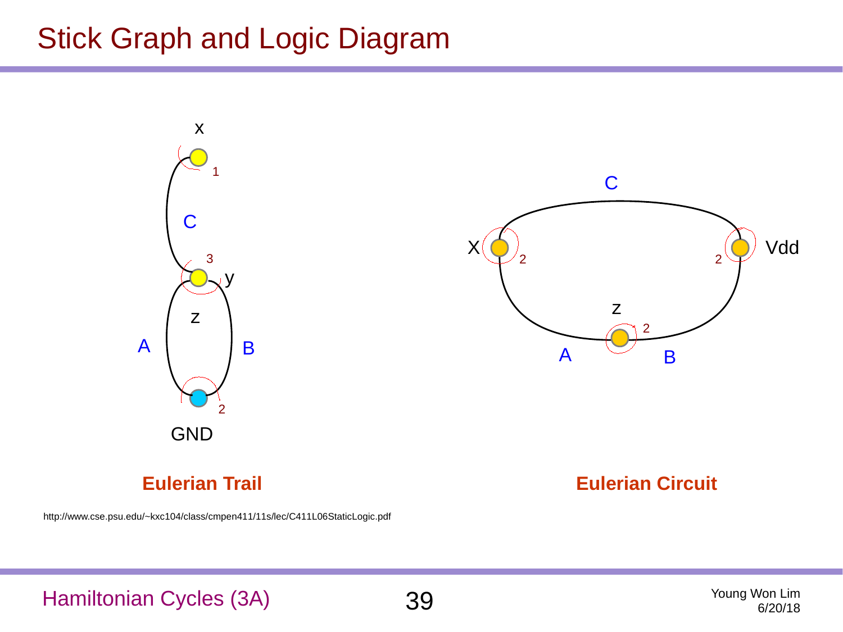#### Stick Graph and Logic Diagram



#### **Eulerian Trail**

http://www.cse.psu.edu/~kxc104/class/cmpen411/11s/lec/C411L06StaticLogic.pdf

#### **Eulerian Circuit**

Hamiltonian Cycles (3A) 39 Young Won Lim



6/20/18